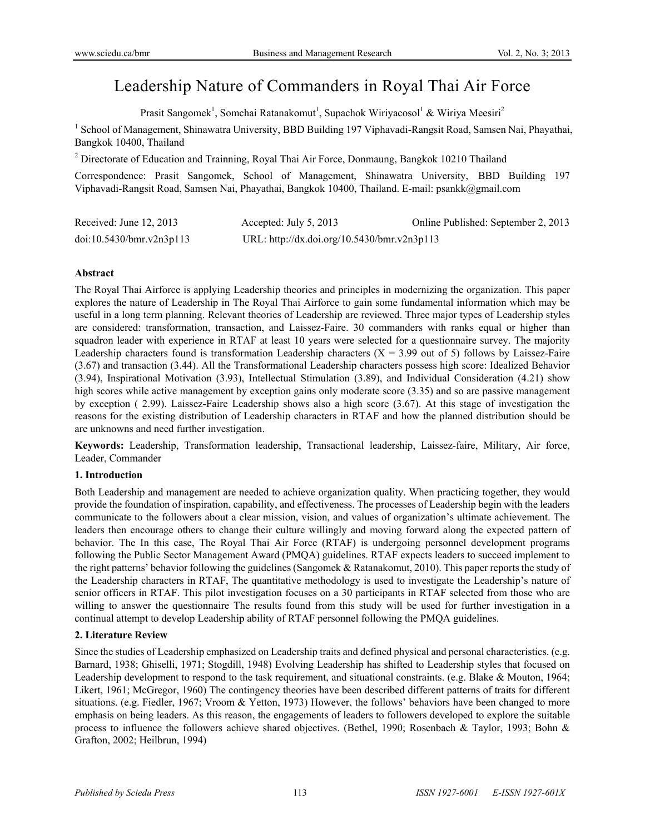# Leadership Nature of Commanders in Royal Thai Air Force

Prasit Sangomek<sup>1</sup>, Somchai Ratanakomut<sup>1</sup>, Supachok Wiriyacosol<sup>1</sup> & Wiriya Meesiri<sup>2</sup>

<sup>1</sup> School of Management, Shinawatra University, BBD Building 197 Viphavadi-Rangsit Road, Samsen Nai, Phayathai, Bangkok 10400, Thailand

<sup>2</sup> Directorate of Education and Trainning, Royal Thai Air Force, Donmaung, Bangkok 10210 Thailand

Correspondence: Prasit Sangomek, School of Management, Shinawatra University, BBD Building 197 Viphavadi-Rangsit Road, Samsen Nai, Phayathai, Bangkok 10400, Thailand. E-mail: psankk@gmail.com

| Received: June 12, 2013  | Accepted: July 5, 2013                      | Online Published: September 2, 2013 |
|--------------------------|---------------------------------------------|-------------------------------------|
| doi:10.5430/bmr.v2n3p113 | URL: http://dx.doi.org/10.5430/bmr.v2n3p113 |                                     |

## **Abstract**

The Royal Thai Airforce is applying Leadership theories and principles in modernizing the organization. This paper explores the nature of Leadership in The Royal Thai Airforce to gain some fundamental information which may be useful in a long term planning. Relevant theories of Leadership are reviewed. Three major types of Leadership styles are considered: transformation, transaction, and Laissez-Faire. 30 commanders with ranks equal or higher than squadron leader with experience in RTAF at least 10 years were selected for a questionnaire survey. The majority Leadership characters found is transformation Leadership characters  $(X = 3.99$  out of 5) follows by Laissez-Faire (3.67) and transaction (3.44). All the Transformational Leadership characters possess high score: Idealized Behavior (3.94), Inspirational Motivation (3.93), Intellectual Stimulation (3.89), and Individual Consideration (4.21) show high scores while active management by exception gains only moderate score (3.35) and so are passive management by exception ( 2.99). Laissez-Faire Leadership shows also a high score (3.67). At this stage of investigation the reasons for the existing distribution of Leadership characters in RTAF and how the planned distribution should be are unknowns and need further investigation.

**Keywords:** Leadership, Transformation leadership, Transactional leadership, Laissez-faire, Military, Air force, Leader, Commander

## **1. Introduction**

Both Leadership and management are needed to achieve organization quality. When practicing together, they would provide the foundation of inspiration, capability, and effectiveness. The processes of Leadership begin with the leaders communicate to the followers about a clear mission, vision, and values of organization's ultimate achievement. The leaders then encourage others to change their culture willingly and moving forward along the expected pattern of behavior. The In this case, The Royal Thai Air Force (RTAF) is undergoing personnel development programs following the Public Sector Management Award (PMQA) guidelines. RTAF expects leaders to succeed implement to the right patterns' behavior following the guidelines (Sangomek & Ratanakomut, 2010). This paper reports the study of the Leadership characters in RTAF, The quantitative methodology is used to investigate the Leadership's nature of senior officers in RTAF. This pilot investigation focuses on a 30 participants in RTAF selected from those who are willing to answer the questionnaire The results found from this study will be used for further investigation in a continual attempt to develop Leadership ability of RTAF personnel following the PMQA guidelines.

## **2. Literature Review**

Since the studies of Leadership emphasized on Leadership traits and defined physical and personal characteristics. (e.g. Barnard, 1938; Ghiselli, 1971; Stogdill, 1948) Evolving Leadership has shifted to Leadership styles that focused on Leadership development to respond to the task requirement, and situational constraints. (e.g. Blake & Mouton, 1964; Likert, 1961; McGregor, 1960) The contingency theories have been described different patterns of traits for different situations. (e.g. Fiedler, 1967; Vroom & Yetton, 1973) However, the follows' behaviors have been changed to more emphasis on being leaders. As this reason, the engagements of leaders to followers developed to explore the suitable process to influence the followers achieve shared objectives. (Bethel, 1990; Rosenbach & Taylor, 1993; Bohn & Grafton, 2002; Heilbrun, 1994)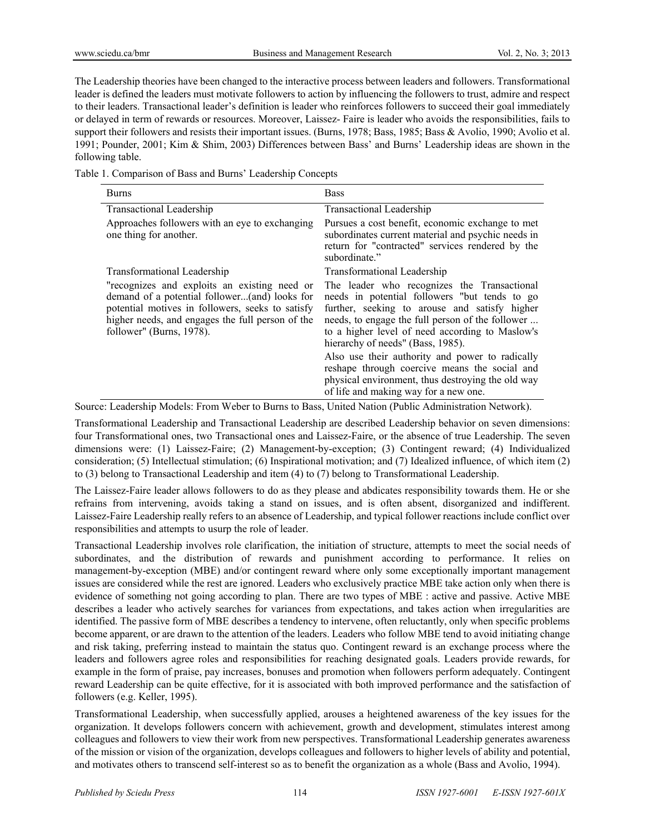The Leadership theories have been changed to the interactive process between leaders and followers. Transformational leader is defined the leaders must motivate followers to action by influencing the followers to trust, admire and respect to their leaders. Transactional leader's definition is leader who reinforces followers to succeed their goal immediately or delayed in term of rewards or resources. Moreover, Laissez- Faire is leader who avoids the responsibilities, fails to support their followers and resists their important issues. (Burns, 1978; Bass, 1985; Bass & Avolio, 1990; Avolio et al. 1991; Pounder, 2001; Kim & Shim, 2003) Differences between Bass' and Burns' Leadership ideas are shown in the following table.

Table 1. Comparison of Bass and Burns' Leadership Concepts

| Burns                                                                                                                                                                                                                             | <b>Bass</b>                                                                                                                                                                                                                                                                                                                                  |
|-----------------------------------------------------------------------------------------------------------------------------------------------------------------------------------------------------------------------------------|----------------------------------------------------------------------------------------------------------------------------------------------------------------------------------------------------------------------------------------------------------------------------------------------------------------------------------------------|
| <b>Transactional Leadership</b>                                                                                                                                                                                                   | <b>Transactional Leadership</b>                                                                                                                                                                                                                                                                                                              |
| Approaches followers with an eye to exchanging<br>one thing for another.                                                                                                                                                          | Pursues a cost benefit, economic exchange to met<br>subordinates current material and psychic needs in<br>return for "contracted" services rendered by the<br>subordinate."                                                                                                                                                                  |
| <b>Transformational Leadership</b>                                                                                                                                                                                                | <b>Transformational Leadership</b>                                                                                                                                                                                                                                                                                                           |
| "recognizes and exploits an existing need or<br>demand of a potential follower(and) looks for<br>potential motives in followers, seeks to satisfy<br>higher needs, and engages the full person of the<br>follower" (Burns, 1978). | The leader who recognizes the Transactional<br>needs in potential followers "but tends to go<br>further, seeking to arouse and satisfy higher<br>needs, to engage the full person of the follower<br>to a higher level of need according to Maslow's<br>hierarchy of needs" (Bass, 1985).<br>Also use their authority and power to radically |
|                                                                                                                                                                                                                                   | reshape through coercive means the social and<br>physical environment, thus destroying the old way<br>of life and making way for a new one.                                                                                                                                                                                                  |

Source: Leadership Models: From Weber to Burns to Bass, United Nation (Public Administration Network).

Transformational Leadership and Transactional Leadership are described Leadership behavior on seven dimensions: four Transformational ones, two Transactional ones and Laissez-Faire, or the absence of true Leadership. The seven dimensions were: (1) Laissez-Faire; (2) Management-by-exception; (3) Contingent reward; (4) Individualized consideration; (5) Intellectual stimulation; (6) Inspirational motivation; and (7) Idealized influence, of which item (2) to (3) belong to Transactional Leadership and item (4) to (7) belong to Transformational Leadership.

The Laissez-Faire leader allows followers to do as they please and abdicates responsibility towards them. He or she refrains from intervening, avoids taking a stand on issues, and is often absent, disorganized and indifferent. Laissez-Faire Leadership really refers to an absence of Leadership, and typical follower reactions include conflict over responsibilities and attempts to usurp the role of leader.

Transactional Leadership involves role clarification, the initiation of structure, attempts to meet the social needs of subordinates, and the distribution of rewards and punishment according to performance. It relies on management-by-exception (MBE) and/or contingent reward where only some exceptionally important management issues are considered while the rest are ignored. Leaders who exclusively practice MBE take action only when there is evidence of something not going according to plan. There are two types of MBE : active and passive. Active MBE describes a leader who actively searches for variances from expectations, and takes action when irregularities are identified. The passive form of MBE describes a tendency to intervene, often reluctantly, only when specific problems become apparent, or are drawn to the attention of the leaders. Leaders who follow MBE tend to avoid initiating change and risk taking, preferring instead to maintain the status quo. Contingent reward is an exchange process where the leaders and followers agree roles and responsibilities for reaching designated goals. Leaders provide rewards, for example in the form of praise, pay increases, bonuses and promotion when followers perform adequately. Contingent reward Leadership can be quite effective, for it is associated with both improved performance and the satisfaction of followers (e.g. Keller, 1995).

Transformational Leadership, when successfully applied, arouses a heightened awareness of the key issues for the organization. It develops followers concern with achievement, growth and development, stimulates interest among colleagues and followers to view their work from new perspectives. Transformational Leadership generates awareness of the mission or vision of the organization, develops colleagues and followers to higher levels of ability and potential, and motivates others to transcend self-interest so as to benefit the organization as a whole (Bass and Avolio, 1994).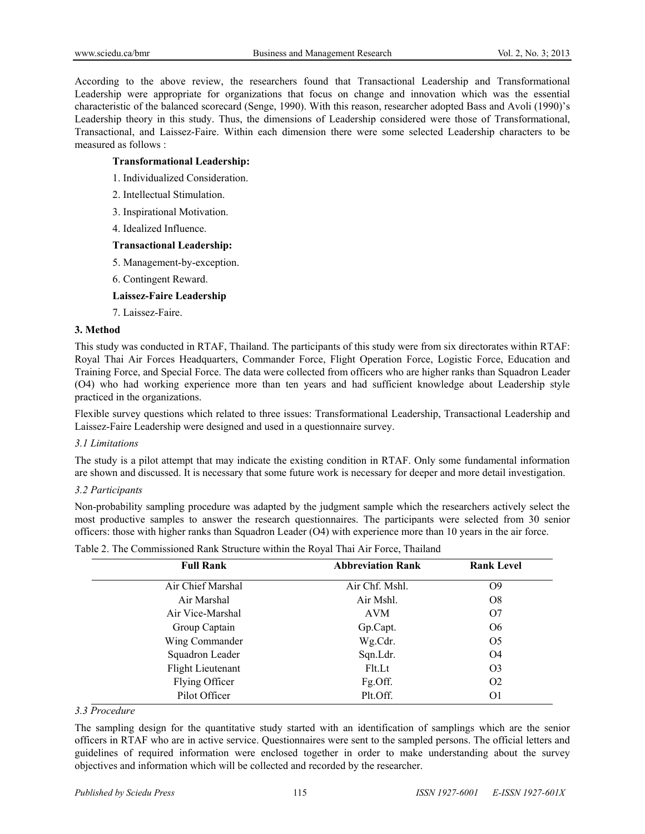According to the above review, the researchers found that Transactional Leadership and Transformational Leadership were appropriate for organizations that focus on change and innovation which was the essential characteristic of the balanced scorecard (Senge, 1990). With this reason, researcher adopted Bass and Avoli (1990)'s Leadership theory in this study. Thus, the dimensions of Leadership considered were those of Transformational, Transactional, and Laissez-Faire. Within each dimension there were some selected Leadership characters to be measured as follows :

## **Transformational Leadership:**

- 1. Individualized Consideration.
- 2. Intellectual Stimulation.
- 3. Inspirational Motivation.
- 4. Idealized Influence.

#### **Transactional Leadership:**

- 5. Management-by-exception.
- 6. Contingent Reward.

## **Laissez-Faire Leadership**

7. Laissez-Faire.

#### **3. Method**

This study was conducted in RTAF, Thailand. The participants of this study were from six directorates within RTAF: Royal Thai Air Forces Headquarters, Commander Force, Flight Operation Force, Logistic Force, Education and Training Force, and Special Force. The data were collected from officers who are higher ranks than Squadron Leader (O4) who had working experience more than ten years and had sufficient knowledge about Leadership style practiced in the organizations.

Flexible survey questions which related to three issues: Transformational Leadership, Transactional Leadership and Laissez-Faire Leadership were designed and used in a questionnaire survey.

#### *3.1 Limitations*

The study is a pilot attempt that may indicate the existing condition in RTAF. Only some fundamental information are shown and discussed. It is necessary that some future work is necessary for deeper and more detail investigation.

#### *3.2 Participants*

Non-probability sampling procedure was adapted by the judgment sample which the researchers actively select the most productive samples to answer the research questionnaires. The participants were selected from 30 senior officers: those with higher ranks than Squadron Leader (O4) with experience more than 10 years in the air force.

Table 2. The Commissioned Rank Structure within the Royal Thai Air Force, Thailand

| <b>Full Rank</b>         | <b>Abbreviation Rank</b> | <b>Rank Level</b> |
|--------------------------|--------------------------|-------------------|
| Air Chief Marshal        | Air Chf. Mshl.           | O <sub>9</sub>    |
| Air Marshal              | Air Mshl.                | O <sub>8</sub>    |
| Air Vice-Marshal         | AVM                      | O <sub>7</sub>    |
| Group Captain            | Gp.Capt.                 | O <sub>6</sub>    |
| Wing Commander           | Wg.Cdr.                  | O <sub>5</sub>    |
| Squadron Leader          | Sqn.Ldr.                 | O <sub>4</sub>    |
| <b>Flight Lieutenant</b> | Flt.Lt                   | O <sub>3</sub>    |
| Flying Officer           | Fg.Off.                  | O <sub>2</sub>    |
| Pilot Officer            | Plt.Off.                 | O <sub>1</sub>    |

# *3.3 Procedure*

The sampling design for the quantitative study started with an identification of samplings which are the senior officers in RTAF who are in active service. Questionnaires were sent to the sampled persons. The official letters and guidelines of required information were enclosed together in order to make understanding about the survey objectives and information which will be collected and recorded by the researcher.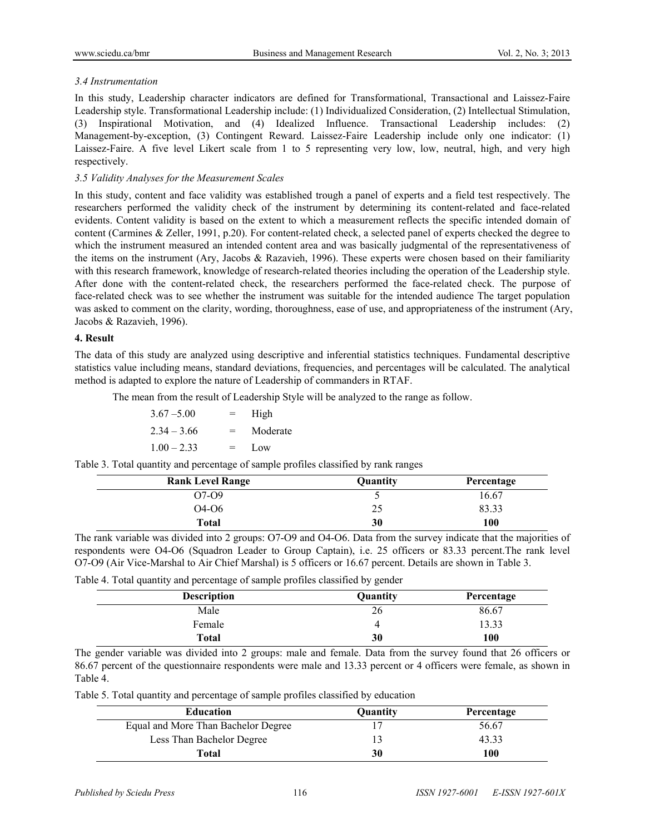# *3.4 Instrumentation*

In this study, Leadership character indicators are defined for Transformational, Transactional and Laissez-Faire Leadership style. Transformational Leadership include: (1) Individualized Consideration, (2) Intellectual Stimulation, (3) Inspirational Motivation, and (4) Idealized Influence. Transactional Leadership includes: (2) Management-by-exception, (3) Contingent Reward. Laissez-Faire Leadership include only one indicator: (1) Laissez-Faire. A five level Likert scale from 1 to 5 representing very low, low, neutral, high, and very high respectively.

# *3.5 Validity Analyses for the Measurement Scales*

In this study, content and face validity was established trough a panel of experts and a field test respectively. The researchers performed the validity check of the instrument by determining its content-related and face-related evidents. Content validity is based on the extent to which a measurement reflects the specific intended domain of content (Carmines & Zeller, 1991, p.20). For content-related check, a selected panel of experts checked the degree to which the instrument measured an intended content area and was basically judgmental of the representativeness of the items on the instrument (Ary, Jacobs & Razavieh, 1996). These experts were chosen based on their familiarity with this research framework, knowledge of research-related theories including the operation of the Leadership style. After done with the content-related check, the researchers performed the face-related check. The purpose of face-related check was to see whether the instrument was suitable for the intended audience The target population was asked to comment on the clarity, wording, thoroughness, ease of use, and appropriateness of the instrument (Ary, Jacobs & Razavieh, 1996).

## **4. Result**

The data of this study are analyzed using descriptive and inferential statistics techniques. Fundamental descriptive statistics value including means, standard deviations, frequencies, and percentages will be calculated. The analytical method is adapted to explore the nature of Leadership of commanders in RTAF.

The mean from the result of Leadership Style will be analyzed to the range as follow.

| $3.67 - 5.00$ | $=$ | High     |
|---------------|-----|----------|
| $2.34 - 3.66$ | $=$ | Moderate |
| $1.00 - 2.33$ | $=$ | Low      |

Table 3. Total quantity and percentage of sample profiles classified by rank ranges

| <b>Rank Level Range</b> | Quantity    | Percentage |
|-------------------------|-------------|------------|
| $O7-O9$                 |             | 16.67      |
| O4-O6                   | າ ເ<br>ر بے | 83.33      |
| Total                   | 30          | 100        |

The rank variable was divided into 2 groups: O7-O9 and O4-O6. Data from the survey indicate that the majorities of respondents were O4-O6 (Squadron Leader to Group Captain), i.e. 25 officers or 83.33 percent.The rank level O7-O9 (Air Vice-Marshal to Air Chief Marshal) is 5 officers or 16.67 percent. Details are shown in Table 3.

#### Table 4. Total quantity and percentage of sample profiles classified by gender

| <b>Description</b> | Quantity | Percentage |
|--------------------|----------|------------|
| Male               | 26       | 86.67      |
| Female             | 4        | 13.33      |
| Total              | 30       | 100        |

The gender variable was divided into 2 groups: male and female. Data from the survey found that 26 officers or 86.67 percent of the questionnaire respondents were male and 13.33 percent or 4 officers were female, as shown in Table 4.

Table 5. Total quantity and percentage of sample profiles classified by education

| <b>Education</b>                    | <b>Quantity</b> | Percentage |
|-------------------------------------|-----------------|------------|
| Equal and More Than Bachelor Degree |                 | 56.67      |
| Less Than Bachelor Degree           |                 | 43.33      |
| Total                               | 30              | 100        |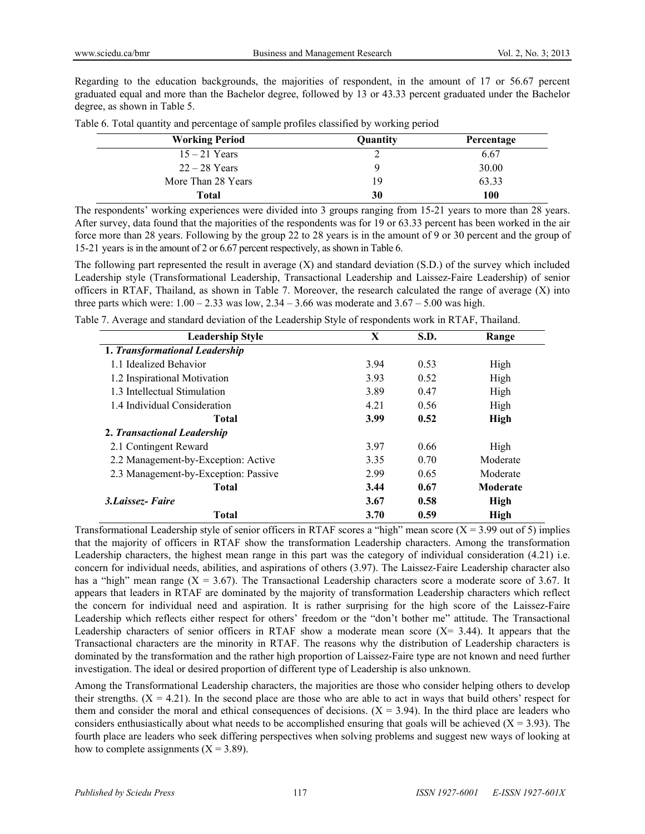Regarding to the education backgrounds, the majorities of respondent, in the amount of 17 or 56.67 percent graduated equal and more than the Bachelor degree, followed by 13 or 43.33 percent graduated under the Bachelor degree, as shown in Table 5.

| Table 6. Total quantity and percentage of sample profiles classified by working period |  |  |  |
|----------------------------------------------------------------------------------------|--|--|--|
|----------------------------------------------------------------------------------------|--|--|--|

| <b>Working Period</b> | Quantity | Percentage |
|-----------------------|----------|------------|
| $15 - 21$ Years       |          | 6.67       |
| $22 - 28$ Years       | Q        | 30.00      |
| More Than 28 Years    | 19       | 63.33      |
| Total                 | 30       | 100        |

The respondents' working experiences were divided into 3 groups ranging from 15-21 years to more than 28 years. After survey, data found that the majorities of the respondents was for 19 or 63.33 percent has been worked in the air force more than 28 years. Following by the group 22 to 28 years is in the amount of 9 or 30 percent and the group of 15-21 years is in the amount of 2 or 6.67 percent respectively, as shown in Table 6.

The following part represented the result in average (X) and standard deviation (S.D.) of the survey which included Leadership style (Transformational Leadership, Transactional Leadership and Laissez-Faire Leadership) of senior officers in RTAF, Thailand, as shown in Table 7. Moreover, the research calculated the range of average (X) into three parts which were:  $1.00 - 2.33$  was low,  $2.34 - 3.66$  was moderate and  $3.67 - 5.00$  was high.

Table 7. Average and standard deviation of the Leadership Style of respondents work in RTAF, Thailand.

| <b>Leadership Style</b>              | X    | S.D. | Range       |
|--------------------------------------|------|------|-------------|
| 1. Transformational Leadership       |      |      |             |
| 1.1 Idealized Behavior               | 3.94 | 0.53 | High        |
| 1.2 Inspirational Motivation         | 3.93 | 0.52 | High        |
| 1.3 Intellectual Stimulation         | 3.89 | 0.47 | High        |
| 1.4 Individual Consideration         | 4.21 | 0.56 | High        |
| Total                                | 3.99 | 0.52 | High        |
| 2. Transactional Leadership          |      |      |             |
| 2.1 Contingent Reward                | 3.97 | 0.66 | High        |
| 2.2 Management-by-Exception: Active  | 3.35 | 0.70 | Moderate    |
| 2.3 Management-by-Exception: Passive | 2.99 | 0.65 | Moderate    |
| <b>Total</b>                         | 3.44 | 0.67 | Moderate    |
| 3. Laissez - Faire                   | 3.67 | 0.58 | High        |
| <b>Total</b>                         | 3.70 | 0.59 | <b>High</b> |

Transformational Leadership style of senior officers in RTAF scores a "high" mean score  $(X = 3.99$  out of 5) implies that the majority of officers in RTAF show the transformation Leadership characters. Among the transformation Leadership characters, the highest mean range in this part was the category of individual consideration (4.21) i.e. concern for individual needs, abilities, and aspirations of others (3.97). The Laissez-Faire Leadership character also has a "high" mean range  $(X = 3.67)$ . The Transactional Leadership characters score a moderate score of 3.67. It appears that leaders in RTAF are dominated by the majority of transformation Leadership characters which reflect the concern for individual need and aspiration. It is rather surprising for the high score of the Laissez-Faire Leadership which reflects either respect for others' freedom or the "don't bother me" attitude. The Transactional Leadership characters of senior officers in RTAF show a moderate mean score  $(X = 3.44)$ . It appears that the Transactional characters are the minority in RTAF. The reasons why the distribution of Leadership characters is dominated by the transformation and the rather high proportion of Laissez-Faire type are not known and need further investigation. The ideal or desired proportion of different type of Leadership is also unknown.

Among the Transformational Leadership characters, the majorities are those who consider helping others to develop their strengths.  $(X = 4.21)$ . In the second place are those who are able to act in ways that build others' respect for them and consider the moral and ethical consequences of decisions.  $(X = 3.94)$ . In the third place are leaders who considers enthusiastically about what needs to be accomplished ensuring that goals will be achieved  $(X = 3.93)$ . The fourth place are leaders who seek differing perspectives when solving problems and suggest new ways of looking at how to complete assignments  $(X = 3.89)$ .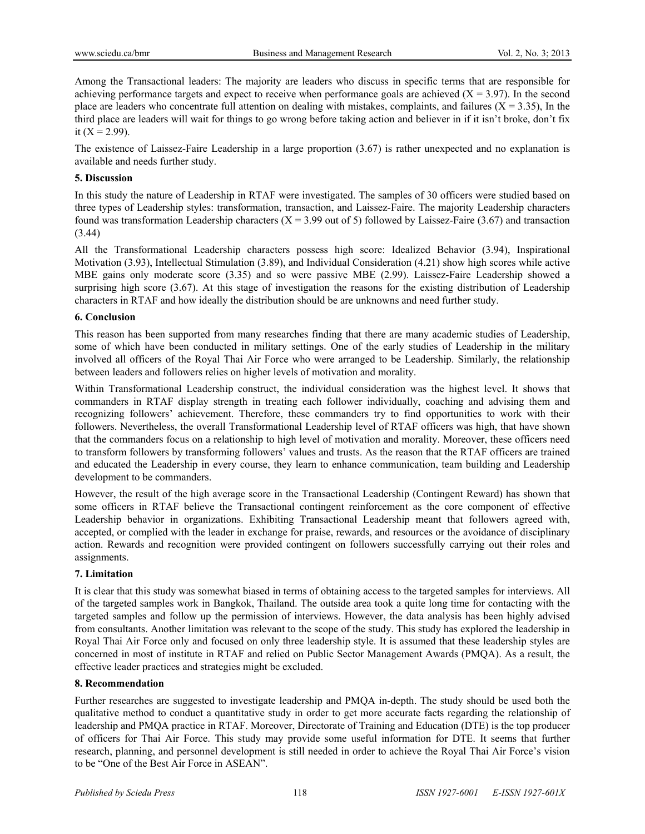Among the Transactional leaders: The majority are leaders who discuss in specific terms that are responsible for achieving performance targets and expect to receive when performance goals are achieved  $(X = 3.97)$ . In the second place are leaders who concentrate full attention on dealing with mistakes, complaints, and failures ( $X = 3.35$ ), In the third place are leaders will wait for things to go wrong before taking action and believer in if it isn't broke, don't fix it  $(X = 2.99)$ .

The existence of Laissez-Faire Leadership in a large proportion (3.67) is rather unexpected and no explanation is available and needs further study.

#### **5. Discussion**

In this study the nature of Leadership in RTAF were investigated. The samples of 30 officers were studied based on three types of Leadership styles: transformation, transaction, and Laissez-Faire. The majority Leadership characters found was transformation Leadership characters  $(X = 3.99$  out of 5) followed by Laissez-Faire (3.67) and transaction (3.44)

All the Transformational Leadership characters possess high score: Idealized Behavior (3.94), Inspirational Motivation (3.93), Intellectual Stimulation (3.89), and Individual Consideration (4.21) show high scores while active MBE gains only moderate score (3.35) and so were passive MBE (2.99). Laissez-Faire Leadership showed a surprising high score (3.67). At this stage of investigation the reasons for the existing distribution of Leadership characters in RTAF and how ideally the distribution should be are unknowns and need further study.

#### **6. Conclusion**

This reason has been supported from many researches finding that there are many academic studies of Leadership, some of which have been conducted in military settings. One of the early studies of Leadership in the military involved all officers of the Royal Thai Air Force who were arranged to be Leadership. Similarly, the relationship between leaders and followers relies on higher levels of motivation and morality.

Within Transformational Leadership construct, the individual consideration was the highest level. It shows that commanders in RTAF display strength in treating each follower individually, coaching and advising them and recognizing followers' achievement. Therefore, these commanders try to find opportunities to work with their followers. Nevertheless, the overall Transformational Leadership level of RTAF officers was high, that have shown that the commanders focus on a relationship to high level of motivation and morality. Moreover, these officers need to transform followers by transforming followers' values and trusts. As the reason that the RTAF officers are trained and educated the Leadership in every course, they learn to enhance communication, team building and Leadership development to be commanders.

However, the result of the high average score in the Transactional Leadership (Contingent Reward) has shown that some officers in RTAF believe the Transactional contingent reinforcement as the core component of effective Leadership behavior in organizations. Exhibiting Transactional Leadership meant that followers agreed with, accepted, or complied with the leader in exchange for praise, rewards, and resources or the avoidance of disciplinary action. Rewards and recognition were provided contingent on followers successfully carrying out their roles and assignments.

## **7. Limitation**

It is clear that this study was somewhat biased in terms of obtaining access to the targeted samples for interviews. All of the targeted samples work in Bangkok, Thailand. The outside area took a quite long time for contacting with the targeted samples and follow up the permission of interviews. However, the data analysis has been highly advised from consultants. Another limitation was relevant to the scope of the study. This study has explored the leadership in Royal Thai Air Force only and focused on only three leadership style. It is assumed that these leadership styles are concerned in most of institute in RTAF and relied on Public Sector Management Awards (PMQA). As a result, the effective leader practices and strategies might be excluded.

## **8. Recommendation**

Further researches are suggested to investigate leadership and PMQA in-depth. The study should be used both the qualitative method to conduct a quantitative study in order to get more accurate facts regarding the relationship of leadership and PMQA practice in RTAF. Moreover, Directorate of Training and Education (DTE) is the top producer of officers for Thai Air Force. This study may provide some useful information for DTE. It seems that further research, planning, and personnel development is still needed in order to achieve the Royal Thai Air Force's vision to be "One of the Best Air Force in ASEAN".